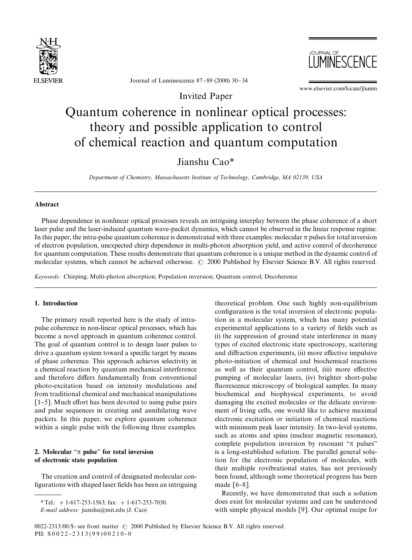



Journal of Luminescence  $87-89$  (2000) 30-34

www.elsevier.com/locate/jlumin

Invited Paper

# Quantum coherence in nonlinear optical processes: theory and possible application to control of chemical reaction and quantum computation

# Jianshu Cao*\**

*Department of Chemistry, Massachusetts Institute of Technology, Cambridge, MA 02139, USA*

#### Abstract

Phase dependence in nonlinear optical processes reveals an intriguing interplay between the phase coherence of a short laser pulse and the laser-induced quantum wave-packet dynamics, which cannot be observed in the linear response regime. In this paper, the intra-pulse quantum coherence is demonstrated with three examples: molecular  $\pi$  pulses for total inversion of electron population, unexpected chirp dependence in multi-photon absorption yield, and active control of decoherence for quantum computation. These results demonstrate that quantum coherence is a unique method in the dynamic control of molecular systems, which cannot be achieved otherwise.  $\odot$  2000 Published by Elsevier Science B.V. All rights reserved.

*Keywords:* Chirping; Multi-photon absorption; Population inversion; Quantum control; Decoherence

# 1. Introduction

The primary result reported here is the study of intrapulse coherence in non-linear optical processes, which has become a novel approach in quantum coherence control. The goal of quantum control is to design laser pulses to drive a quantum system toward a specific target by means of phase coherence. This approach achieves selectivity in a chemical reaction by quantum mechanical interference and therefore differs fundamentally from conventional photo-excitation based on intensity modulations and from traditional chemical and mechanical manipulations  $[1-5]$ . Much effort has been devoted to using pulse pairs and pulse sequences in creating and annihilating wave packets. In this paper, we explore quantum coherence within a single pulse with the following three examples.

# 2. Molecular " $\pi$  pulse" for total inversion of electronic state population

The creation and control of designated molecular con figurations with shaped laser fields has been an intriguing theoretical problem. One such highly non-equilibrium configuration is the total inversion of electronic population in a molecular system, which has many potential experimental applications to a variety of fields such as (i) the suppression of ground state interference in many types of excited electronic state spectroscopy, scattering and diffraction experiments, (ii) more effective impulsive photo-initiation of chemical and biochemical reactions as well as their quantum control, (iii) more effective pumping of molecular lasers, (iv) brighter short-pulse fluorescence microscopy of biological samples. In many biochemical and biophysical experiments, to avoid damaging the excited molecules or the delicate environment of living cells, one would like to achieve maximal electronic excitation or initiation of chemical reactions with minimum peak laser intensity. In two-level systems, such as atoms and spins (nuclear magnetic resonance), complete population inversion by resonant " $\pi$  pulses" is a long-established solution. The parallel general solution for the electronic population of molecules, with their multiple rovibrational states, has not previously been found, although some theoretical progress has been made  $[6-8]$ .

Recently, we have demonstrated that such a solution does exist for molecular systems and can be understood with simple physical models [9]. Our optimal recipe for

*<sup>\*</sup>*Tel.: #1-617-253-1563; fax: #1-617-253-7030.

*E-mail address:* jianshu@mit.edu (J. Cao)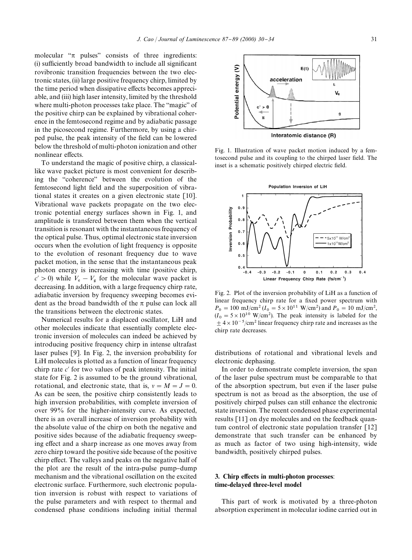molecular " $\pi$  pulses" consists of three ingredients: (i) sufficiently broad bandwidth to include all significant rovibronic transition frequencies between the two electronic states, (ii) large positive frequency chirp, limited by the time period when dissipative effects becomes appreciable, and (iii) high laser intensity, limited by the threshold where multi-photon processes take place. The "magic" of the positive chirp can be explained by vibrational coherence in the femtosecond regime and by adiabatic passage in the picosecond regime. Furthermore, by using a chirped pulse, the peak intensity of the field can be lowered below the threshold of multi-photon ionization and other nonlinear effects.

To understand the magic of positive chirp, a classicallike wave packet picture is most convenient for describing the "coherence" between the evolution of the femtosecond light field and the superposition of vibrational states it creates on a given electronic state [10]. Vibrational wave packets propagate on the two electronic potential energy surfaces shown in Fig. 1, and amplitude is transfered between them when the vertical transition is resonant with the instantaneous frequency of the optical pulse. Thus, optimal electronic state inversion occurs when the evolution of light frequency is opposite to the evolution of resonant frequency due to wave packet motion, in the sense that the instantaneous peak photon energy is increasing with time (positive chirp,  $c' > 0$ ) while  $V_e - V_g$  for the molecular wave packet is decreasing. In addition, with a large frequency chirp rate, adiabatic inversion by frequency sweeping becomes evident as the broad bandwidth of the  $\pi$  pulse can lock all the transitions between the electronic states.

Numerical results for a displaced oscillator, LiH and other molecules indicate that essentially complete electronic inversion of molecules can indeed be achieved by introducing positive frequency chirp in intense ultrafast laser pulses [9]. In Fig. 2, the inversion probability for LiH molecules is plotted as a function of linear frequency chirp rate  $c'$  for two values of peak intensity. The initial state for Fig. 2 is assumed to be the ground vibrational, rotational, and electronic state, that is,  $v = M = J = 0$ . As can be seen, the positive chirp consistently leads to high inversion probabilities, with complete inversion of over 99% for the higher-intensity curve. As expected, there is an overall increase of inversion probability with the absolute value of the chirp on both the negative and positive sides because of the adiabatic frequency sweeping effect and a sharp increase as one moves away from zero chirp toward the positive side because of the positive chirp effect. The valleys and peaks on the negative half of the plot are the result of the intra-pulse pump-dump mechanism and the vibrational oscillation on the excited electronic surface. Furthermore, such electronic population inversion is robust with respect to variations of the pulse parameters and with respect to thermal and condensed phase conditions including initial thermal



Fig. 1. Illustration of wave packet motion induced by a femtosecond pulse and its coupling to the chirped laser field. The inset is a schematic positively chirped electric field.



Fig. 2. Plot of the inversion probability of LiH as a function of linear frequency chirp rate for a fixed power spectrum with  $P_0 = 100 \text{ mJ/cm}^2 (I_0 = 5 \times 10^{11} \text{ W/cm}^2)$  and  $P_0 = 10 \text{ mJ/cm}^2$ ,  $(I_0 = 5 \times 10^{10} \text{ W/cm}^2)$ . The peak intensity is labeled for the  $\pm$  4 × 10<sup>-5</sup>/cm<sup>2</sup> linear frequency chirp rate and increases as the chirp rate decreases.

distributions of rotational and vibrational levels and electronic dephasing.

In order to demonstrate complete inversion, the span of the laser pulse spectrum must be comparable to that of the absorption spectrum, but even if the laser pulse spectrum is not as broad as the absorption, the use of positively chirped pulses can still enhance the electronic state inversion. The recent condensed phase experimental results [11] on dye molecules and on the feedback quantum control of electronic state population transfer [12] demonstrate that such transfer can be enhanced by as much as factor of two using high-intensity, wide bandwidth, positively chirped pulses.

## 3. Chirp effects in multi-photon processes: time-delayed three-level model

This part of work is motivated by a three-photon absorption experiment in molecular iodine carried out in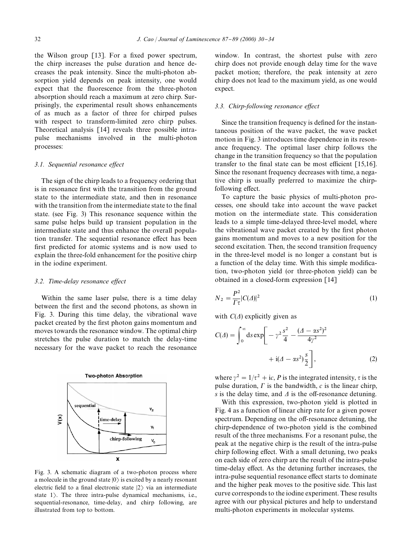the Wilson group  $[13]$ . For a fixed power spectrum, the chirp increases the pulse duration and hence decreases the peak intensity. Since the multi-photon absorption yield depends on peak intensity, one would expect that the fluorescence from the three-photon absorption should reach a maximum at zero chirp. Surprisingly, the experimental result shows enhancements of as much as a factor of three for chirped pulses with respect to transform-limited zero chirp pulses. Theoretical analysis [14] reveals three possible intrapulse mechanisms involved in the multi-photon processes:

#### 3.1. Sequential resonance effect

The sign of the chirp leads to a frequency ordering that is in resonance first with the transition from the ground state to the intermediate state, and then in resonance with the transition from the intermediate state to the final state. (see Fig. 3) This resonance sequence within the same pulse helps build up transient population in the intermediate state and thus enhance the overall population transfer. The sequential resonance effect has been first predicted for atomic systems and is now used to explain the three-fold enhancement for the positive chirp in the iodine experiment.

#### 3.2. Time-delay resonance effect

Within the same laser pulse, there is a time delay between the first and the second photons, as shown in Fig. 3. During this time delay, the vibrational wave packet created by the first photon gains momentum and moves towards the resonance window. The optimal chirp stretches the pulse duration to match the delay-time necessary for the wave packet to reach the resonance



Fig. 3. A schematic diagram of a two-photon process where a molecule in the ground state  $|0\rangle$  is excited by a nearly resonant electric field to a final electronic state  $|2\rangle$  via an intermediate state  $1$ ). The three intra-pulse dynamical mechanisms, i.e., sequential-resonance, time-delay, and chirp following, are illustrated from top to bottom.

window. In contrast, the shortest pulse with zero chirp does not provide enough delay time for the wave packet motion; therefore, the peak intensity at zero chirp does not lead to the maximum yield, as one would expect.

### *3.3. Chirp-following resonance effect*

Since the transition frequency is defined for the instantaneous position of the wave packet, the wave packet motion in Fig. 3 introduces time dependence in its resonance frequency. The optimal laser chirp follows the change in the transition frequency so that the population transfer to the final state can be most efficient  $[15,16]$ . Since the resonant frequency decreases with time, a negative chirp is usually preferred to maximize the chirpfollowing effect.

To capture the basic physics of multi-photon processes, one should take into account the wave packet motion on the intermediate state. This consideration leads to a simple time-delayed three-level model, where the vibrational wave packet created by the first photon gains momentum and moves to a new position for the second excitation. Then, the second transition frequency in the three-level model is no longer a constant but is a function of the delay time. With this simple modification, two-photon yield (or three-photon yield) can be obtained in a closed-form expression [14]

$$
N_2 = \frac{P^2}{\Gamma \tau} |C(\Delta)|^2 \tag{1}
$$

with  $C(\Delta)$  explicitly given as

$$
C(\Delta) = \int_0^\infty ds \exp\left[ -\gamma^2 \frac{s^2}{4} - \frac{(\Delta - \alpha s^2)^2}{4\gamma^2} + i(\Delta - \alpha s^2) \frac{s}{2} \right],\tag{2}
$$

where  $\gamma^2 = 1/\tau^2 + i\epsilon$ , *P* is the integrated intensity,  $\tau$  is the pulse duration,  $\Gamma$  is the bandwidth,  $c$  is the linear chirp, *s* is the delay time, and  $\Delta$  is the off-resonance detuning.

With this expression, two-photon yield is plotted in Fig. 4 as a function of linear chirp rate for a given power spectrum. Depending on the off-resonance detuning, the chirp-dependence of two-photon yield is the combined result of the three mechanisms. For a resonant pulse, the peak at the negative chirp is the result of the intra-pulse chirp following effect. With a small detuning, two peaks on each side of zero chirp are the result of the intra-pulse time-delay effect. As the detuning further increases, the intra-pulse sequential resonance effect starts to dominate and the higher peak moves to the positive side. This last curve corresponds to the iodine experiment. These results agree with our physical pictures and help to understand multi-photon experiments in molecular systems.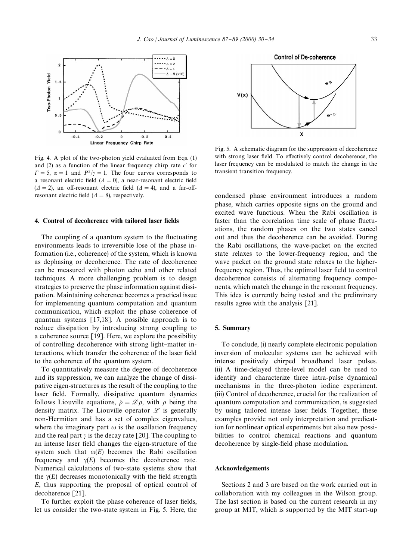

Fig. 4. A plot of the two-photon yield evaluated from Eqs. (1) and  $(2)$  as a function of the linear frequency chirp rate  $c'$  for  $\Gamma = 5$ ,  $\alpha = 1$  and  $P^2/\gamma = 1$ . The four curves corresponds to a resonant electric field ( $\Delta = 0$ ), a near-resonant electric field  $(\Delta = 2)$ , an off-resonant electric field  $(\Delta = 4)$ , and a far-offresonant electric field  $(\Delta = 8)$ , respectively.

#### 4. Control of decoherence with tailored laser fields

The coupling of a quantum system to the fluctuating environments leads to irreversible lose of the phase information (i.e., coherence) of the system, which is known as dephasing or decoherence. The rate of decoherence can be measured with photon echo and other related techniques. A more challenging problem is to design strategies to preserve the phase information against dissipation. Maintaining coherence becomes a practical issue for implementing quantum computation and quantum communication, which exploit the phase coherence of quantum systems [17,18]. A possible approach is to reduce dissipation by introducing strong coupling to a coherence source [19]. Here, we explore the possibility of controlling decoherence with strong light-matter interactions, which transfer the coherence of the laser field to the coherence of the quantum system.

To quantitatively measure the degree of decoherence and its suppression, we can analyze the change of dissipative eigen-structures as the result of the coupling to the laser field. Formally, dissipative quantum dynamics follows Liouville equations,  $\dot{\rho} = \mathcal{L}\rho$ , with  $\rho$  being the density matrix. The Liouville operator  $\mathscr L$  is generally non-Hermitian and has a set of complex eigenvalues, where the imaginary part  $\omega$  is the oscillation frequency and the real part  $\gamma$  is the decay rate [20]. The coupling to an intense laser field changes the eigen-structure of the system such that  $\omega(E)$  becomes the Rabi oscillation frequency and  $\gamma(E)$  becomes the decoherence rate. Numerical calculations of two-state systems show that the  $\gamma(E)$  decreases monotonically with the field strength *E*, thus supporting the proposal of optical control of decoherence [21].

To further exploit the phase coherence of laser fields, let us consider the two-state system in Fig. 5. Here, the



Fig. 5. A schematic diagram for the suppression of decoherence with strong laser field. To effectively control decoherence, the laser frequency can be modulated to match the change in the transient transition frequency.

condensed phase environment introduces a random phase, which carries opposite signs on the ground and excited wave functions. When the Rabi oscillation is faster than the correlation time scale of phase fluctuations, the random phases on the two states cancel out and thus the decoherence can be avoided. During the Rabi oscillations, the wave-packet on the excited state relaxes to the lower-frequency region, and the wave packet on the ground state relaxes to the higherfrequency region. Thus, the optimal laser field to control decoherence consists of alternating frequency components, which match the change in the resonant frequency. This idea is currently being tested and the preliminary results agree with the analysis [21].

#### 5. Summary

To conclude, (i) nearly complete electronic population inversion of molecular systems can be achieved with intense positively chirped broadband laser pulses. (ii) A time-delayed three-level model can be used to identify and characterize three intra-pulse dynamical mechanisms in the three-photon iodine experiment. (iii) Control of decoherence, crucial for the realization of quantum computation and communication, is suggested by using tailored intense laser fields. Together, these examples provide not only interpretation and predication for nonlinear optical experiments but also new possibilities to control chemical reactions and quantum decoherence by single-field phase modulation.

# Acknowledgements

Sections 2 and 3 are based on the work carried out in collaboration with my colleagues in the Wilson group. The last section is based on the current research in my group at MIT, which is supported by the MIT start-up